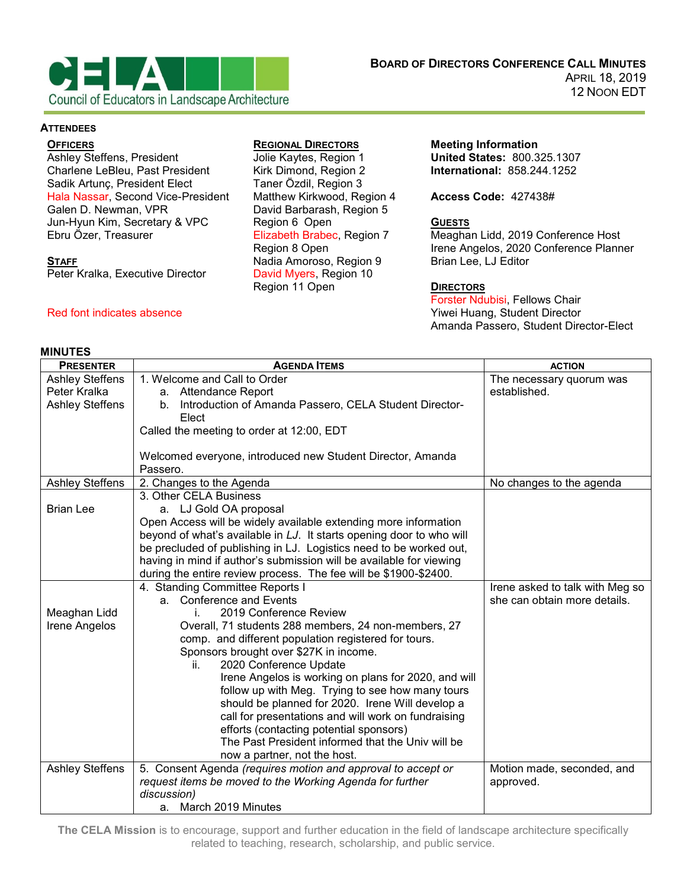

### **ATTENDEES**

### **OFFICERS**

Ashley Steffens, President Charlene LeBleu, Past President Sadik Artunç, President Elect Hala Nassar, Second Vice-President Galen D. Newman, VPR Jun-Hyun Kim, Secretary & VPC Ebru Özer, Treasurer

#### **STAFF**

Peter Kralka, Executive Director

## Red font indicates absence

### **MINUTES**

## **REGIONAL DIRECTORS**

Jolie Kaytes, Region 1 Kirk Dimond, Region 2 Taner Özdil, Region 3 Matthew Kirkwood, Region 4 David Barbarash, Region 5 Region 6 Open Elizabeth Brabec, Region 7 Region 8 Open Nadia Amoroso, Region 9 David Myers, Region 10 Region 11 Open

**Meeting Information United States:** 800.325.1307 **International:** 858.244.1252

**Access Code:** 427438#

# **GUESTS**

Meaghan Lidd, 2019 Conference Host Irene Angelos, 2020 Conference Planner Brian Lee, LJ Editor

## **DIRECTORS**

Forster Ndubisi, Fellows Chair Yiwei Huang, Student Director Amanda Passero, Student Director-Elect

| <b>PRESENTER</b>       | <b>AGENDA ITEMS</b>                                                                          | <b>ACTION</b>                   |
|------------------------|----------------------------------------------------------------------------------------------|---------------------------------|
| <b>Ashley Steffens</b> | 1. Welcome and Call to Order                                                                 | The necessary quorum was        |
| Peter Kralka           | a. Attendance Report                                                                         | established.                    |
| <b>Ashley Steffens</b> | b. Introduction of Amanda Passero, CELA Student Director-                                    |                                 |
|                        | Elect                                                                                        |                                 |
|                        | Called the meeting to order at 12:00, EDT                                                    |                                 |
|                        |                                                                                              |                                 |
|                        | Welcomed everyone, introduced new Student Director, Amanda                                   |                                 |
|                        | Passero.                                                                                     |                                 |
| <b>Ashley Steffens</b> | 2. Changes to the Agenda                                                                     | No changes to the agenda        |
|                        | 3. Other CELA Business                                                                       |                                 |
| <b>Brian Lee</b>       | a. LJ Gold OA proposal                                                                       |                                 |
|                        | Open Access will be widely available extending more information                              |                                 |
|                        | beyond of what's available in LJ. It starts opening door to who will                         |                                 |
|                        | be precluded of publishing in LJ. Logistics need to be worked out,                           |                                 |
|                        | having in mind if author's submission will be available for viewing                          |                                 |
|                        | during the entire review process. The fee will be \$1900-\$2400.                             |                                 |
|                        | 4. Standing Committee Reports I                                                              | Irene asked to talk with Meg so |
|                        | a. Conference and Events                                                                     | she can obtain more details.    |
| Meaghan Lidd           | 2019 Conference Review<br>İ.                                                                 |                                 |
| Irene Angelos          | Overall, 71 students 288 members, 24 non-members, 27                                         |                                 |
|                        | comp. and different population registered for tours.                                         |                                 |
|                        | Sponsors brought over \$27K in income.                                                       |                                 |
|                        | 2020 Conference Update<br>ii.                                                                |                                 |
|                        | Irene Angelos is working on plans for 2020, and will                                         |                                 |
|                        | follow up with Meg. Trying to see how many tours                                             |                                 |
|                        | should be planned for 2020. Irene Will develop a                                             |                                 |
|                        | call for presentations and will work on fundraising                                          |                                 |
|                        | efforts (contacting potential sponsors)<br>The Past President informed that the Univ will be |                                 |
|                        |                                                                                              |                                 |
|                        | now a partner, not the host.                                                                 |                                 |
| <b>Ashley Steffens</b> | 5. Consent Agenda (requires motion and approval to accept or                                 | Motion made, seconded, and      |
|                        | request items be moved to the Working Agenda for further<br>discussion)                      | approved.                       |
|                        | March 2019 Minutes<br>a.                                                                     |                                 |
|                        |                                                                                              |                                 |

**The CELA Mission** is to encourage, support and further education in the field of landscape architecture specifically related to teaching, research, scholarship, and public service.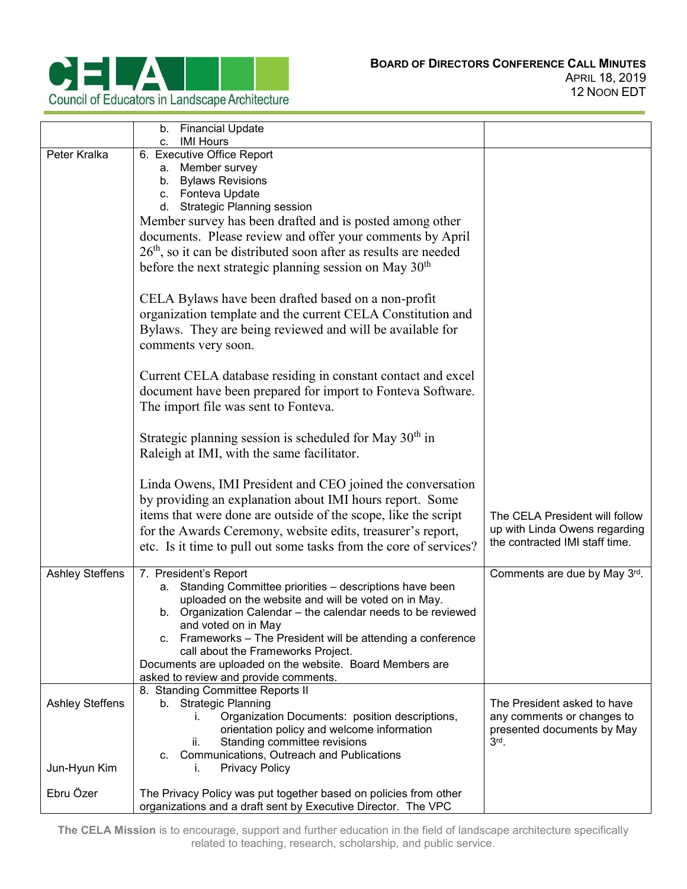

|                                 | Financial Update<br>b.<br><b>IMI Hours</b><br>c.                                                                                                                                                                                                                                                                                                                                                                                             |                                                                                                    |
|---------------------------------|----------------------------------------------------------------------------------------------------------------------------------------------------------------------------------------------------------------------------------------------------------------------------------------------------------------------------------------------------------------------------------------------------------------------------------------------|----------------------------------------------------------------------------------------------------|
| Peter Kralka                    | 6. Executive Office Report<br>a. Member survey<br>b. Bylaws Revisions<br>c. Fonteva Update<br>d. Strategic Planning session<br>Member survey has been drafted and is posted among other<br>documents. Please review and offer your comments by April<br>$26th$ , so it can be distributed soon after as results are needed<br>before the next strategic planning session on May $30th$                                                       |                                                                                                    |
|                                 | CELA Bylaws have been drafted based on a non-profit<br>organization template and the current CELA Constitution and<br>Bylaws. They are being reviewed and will be available for<br>comments very soon.                                                                                                                                                                                                                                       |                                                                                                    |
|                                 | Current CELA database residing in constant contact and excel<br>document have been prepared for import to Fonteva Software.<br>The import file was sent to Fonteva.                                                                                                                                                                                                                                                                          |                                                                                                    |
|                                 | Strategic planning session is scheduled for May $30th$ in<br>Raleigh at IMI, with the same facilitator.                                                                                                                                                                                                                                                                                                                                      |                                                                                                    |
|                                 | Linda Owens, IMI President and CEO joined the conversation<br>by providing an explanation about IMI hours report. Some<br>items that were done are outside of the scope, like the script<br>for the Awards Ceremony, website edits, treasurer's report,<br>etc. Is it time to pull out some tasks from the core of services?                                                                                                                 | The CELA President will follow<br>up with Linda Owens regarding<br>the contracted IMI staff time.  |
| Ashley Steffens                 | 7. President's Report<br>a. Standing Committee priorities - descriptions have been<br>uploaded on the website and will be voted on in May.<br>b. Organization Calendar – the calendar needs to be reviewed<br>and voted on in May<br>c. Frameworks - The President will be attending a conference<br>call about the Frameworks Project.<br>Documents are uploaded on the website. Board Members are<br>asked to review and provide comments. | Comments are due by May 3rd.                                                                       |
| Ashley Steffens<br>Jun-Hyun Kim | 8. Standing Committee Reports II<br>b. Strategic Planning<br>Organization Documents: position descriptions,<br>İ.<br>orientation policy and welcome information<br>Standing committee revisions<br>н.<br>Communications, Outreach and Publications<br>C.<br><b>Privacy Policy</b><br>ı.                                                                                                                                                      | The President asked to have<br>any comments or changes to<br>presented documents by May<br>$3rd$ . |
| Ebru Özer                       | The Privacy Policy was put together based on policies from other<br>organizations and a draft sent by Executive Director. The VPC                                                                                                                                                                                                                                                                                                            |                                                                                                    |

**The CELA Mission** is to encourage, support and further education in the field of landscape architecture specifically related to teaching, research, scholarship, and public service.